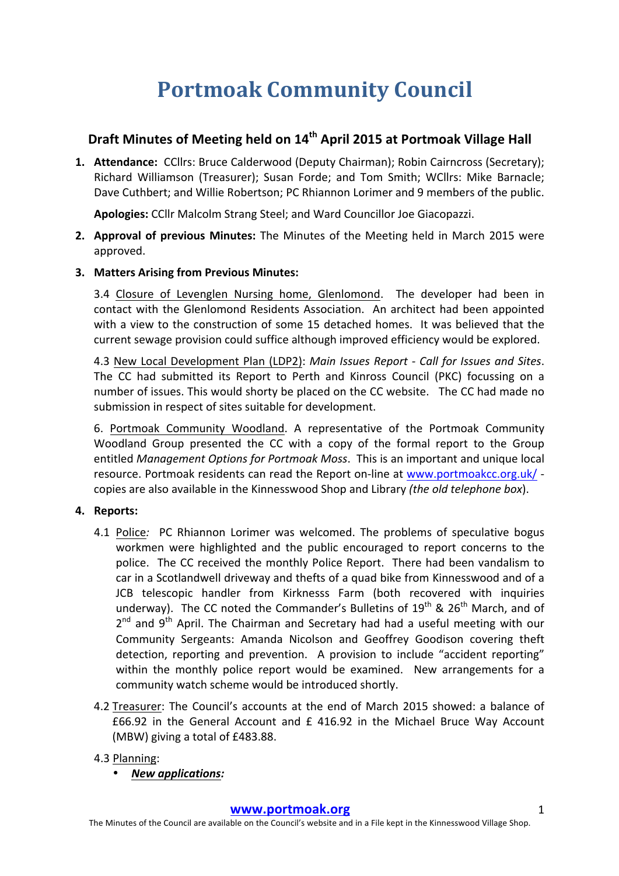# **Portmoak Community Council**

# **Draft Minutes of Meeting held on 14<sup>th</sup> April 2015 at Portmoak Village Hall**

1. **Attendance:** CCllrs: Bruce Calderwood (Deputy Chairman); Robin Cairncross (Secretary); Richard Williamson (Treasurer); Susan Forde; and Tom Smith; WCllrs: Mike Barnacle; Dave Cuthbert; and Willie Robertson; PC Rhiannon Lorimer and 9 members of the public.

Apologies: CCllr Malcolm Strang Steel; and Ward Councillor Joe Giacopazzi.

- **2.** Approval of previous Minutes: The Minutes of the Meeting held in March 2015 were approved.
- **3. Matters Arising from Previous Minutes:**

3.4 Closure of Levenglen Nursing home, Glenlomond. The developer had been in contact with the Glenlomond Residents Association. An architect had been appointed with a view to the construction of some 15 detached homes. It was believed that the current sewage provision could suffice although improved efficiency would be explored.

4.3 New Local Development Plan (LDP2): *Main Issues Report - Call for Issues and Sites*. The CC had submitted its Report to Perth and Kinross Council (PKC) focussing on a number of issues. This would shorty be placed on the CC website. The CC had made no submission in respect of sites suitable for development.

6. Portmoak Community Woodland. A representative of the Portmoak Community Woodland Group presented the CC with a copy of the formal report to the Group entitled *Management Options for Portmoak Moss*. This is an important and unique local resource. Portmoak residents can read the Report on-line at www.portmoakcc.org.uk/ copies are also available in the Kinnesswood Shop and Library *(the old telephone box)*.

## **4.** Reports:

- 4.1 Police: PC Rhiannon Lorimer was welcomed. The problems of speculative bogus workmen were highlighted and the public encouraged to report concerns to the police. The CC received the monthly Police Report. There had been vandalism to car in a Scotlandwell driveway and thefts of a quad bike from Kinnesswood and of a JCB telescopic handler from Kirknesss Farm (both recovered with inquiries underway). The CC noted the Commander's Bulletins of  $19<sup>th</sup>$  & 26<sup>th</sup> March, and of  $2^{nd}$  and  $9^{th}$  April. The Chairman and Secretary had had a useful meeting with our Community Sergeants: Amanda Nicolson and Geoffrey Goodison covering theft detection, reporting and prevention. A provision to include "accident reporting" within the monthly police report would be examined. New arrangements for a community watch scheme would be introduced shortly.
- 4.2 Treasurer: The Council's accounts at the end of March 2015 showed: a balance of  $£66.92$  in the General Account and  $£ 416.92$  in the Michael Bruce Way Account (MBW) giving a total of £483.88.
- 4.3 Planning:
	- *New applications:*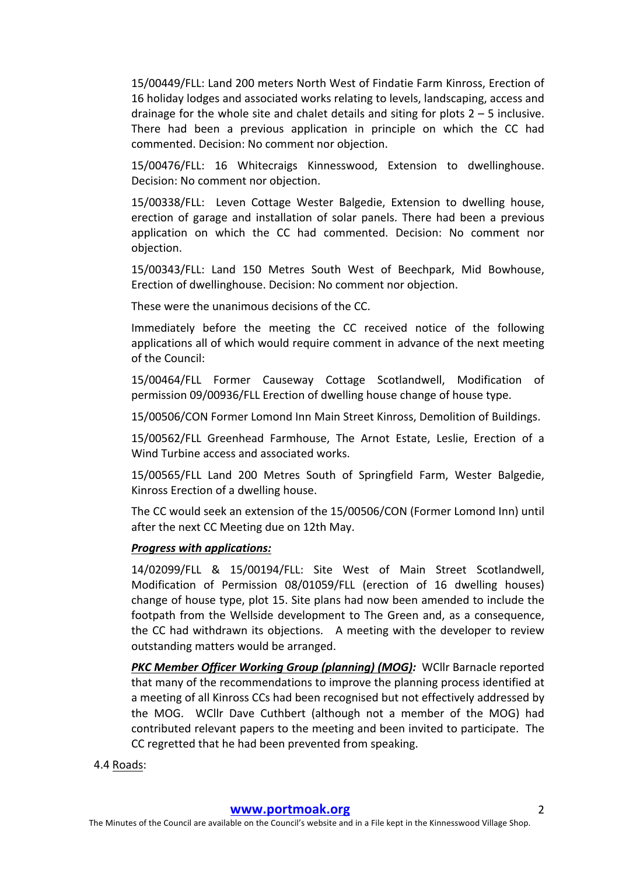15/00449/FLL: Land 200 meters North West of Findatie Farm Kinross, Erection of 16 holiday lodges and associated works relating to levels, landscaping, access and drainage for the whole site and chalet details and siting for plots  $2 - 5$  inclusive. There had been a previous application in principle on which the CC had commented. Decision: No comment nor objection.

15/00476/FLL: 16 Whitecraigs Kinnesswood, Extension to dwellinghouse. Decision: No comment nor objection.

15/00338/FLL: Leven Cottage Wester Balgedie, Extension to dwelling house, erection of garage and installation of solar panels. There had been a previous application on which the CC had commented. Decision: No comment nor objection.

15/00343/FLL: Land 150 Metres South West of Beechpark, Mid Bowhouse, Erection of dwellinghouse. Decision: No comment nor objection.

These were the unanimous decisions of the CC.

Immediately before the meeting the CC received notice of the following applications all of which would require comment in advance of the next meeting of the Council:

15/00464/FLL Former Causeway Cottage Scotlandwell, Modification of permission 09/00936/FLL Erection of dwelling house change of house type.

15/00506/CON Former Lomond Inn Main Street Kinross, Demolition of Buildings.

15/00562/FLL Greenhead Farmhouse, The Arnot Estate, Leslie, Erection of a Wind Turbine access and associated works.

15/00565/FLL Land 200 Metres South of Springfield Farm, Wester Balgedie, Kinross Erection of a dwelling house.

The CC would seek an extension of the 15/00506/CON (Former Lomond Inn) until after the next CC Meeting due on 12th May.

#### **Progress with applications:**

14/02099/FLL & 15/00194/FLL: Site West of Main Street Scotlandwell, Modification of Permission 08/01059/FLL (erection of 16 dwelling houses) change of house type, plot 15. Site plans had now been amended to include the footpath from the Wellside development to The Green and, as a consequence, the CC had withdrawn its objections. A meeting with the developer to review outstanding matters would be arranged.

**PKC Member Officer Working Group (planning) (MOG):** WCllr Barnacle reported that many of the recommendations to improve the planning process identified at a meeting of all Kinross CCs had been recognised but not effectively addressed by the MOG. WCllr Dave Cuthbert (although not a member of the MOG) had contributed relevant papers to the meeting and been invited to participate. The CC regretted that he had been prevented from speaking.

#### 4.4 Roads: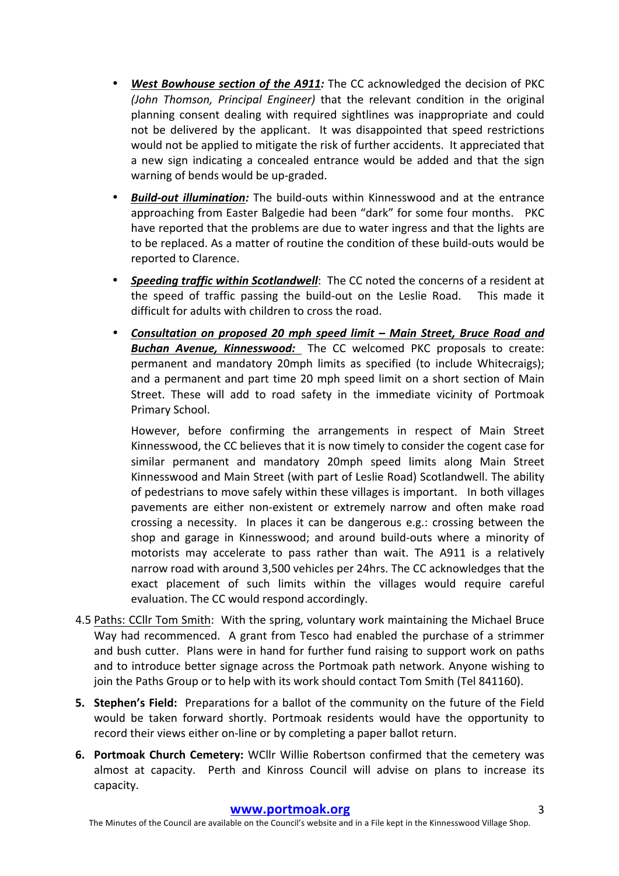- **West Bowhouse section of the A911:** The CC acknowledged the decision of PKC *(John Thomson, Principal Engineer)* that the relevant condition in the original planning consent dealing with required sightlines was inappropriate and could not be delivered by the applicant. It was disappointed that speed restrictions would not be applied to mitigate the risk of further accidents. It appreciated that a new sign indicating a concealed entrance would be added and that the sign warning of bends would be up-graded.
- **Build-out illumination:** The build-outs within Kinnesswood and at the entrance approaching from Easter Balgedie had been "dark" for some four months. PKC have reported that the problems are due to water ingress and that the lights are to be replaced. As a matter of routine the condition of these build-outs would be reported to Clarence.
- **Speeding traffic within Scotlandwell**: The CC noted the concerns of a resident at the speed of traffic passing the build-out on the Leslie Road. This made it difficult for adults with children to cross the road.
- *Consultation on proposed 20 mph speed limit – Main Street, Bruce Road and*  **Buchan Avenue, Kinnesswood:** The CC welcomed PKC proposals to create: permanent and mandatory 20mph limits as specified (to include Whitecraigs); and a permanent and part time 20 mph speed limit on a short section of Main Street. These will add to road safety in the immediate vicinity of Portmoak Primary School.

However, before confirming the arrangements in respect of Main Street Kinnesswood, the CC believes that it is now timely to consider the cogent case for similar permanent and mandatory 20mph speed limits along Main Street Kinnesswood and Main Street (with part of Leslie Road) Scotlandwell. The ability of pedestrians to move safely within these villages is important. In both villages pavements are either non-existent or extremely narrow and often make road crossing a necessity. In places it can be dangerous e.g.: crossing between the shop and garage in Kinnesswood; and around build-outs where a minority of motorists may accelerate to pass rather than wait. The A911 is a relatively narrow road with around 3,500 vehicles per 24hrs. The CC acknowledges that the exact placement of such limits within the villages would require careful evaluation. The CC would respond accordingly.

- 4.5 Paths: CCllr Tom Smith: With the spring, voluntary work maintaining the Michael Bruce Way had recommenced. A grant from Tesco had enabled the purchase of a strimmer and bush cutter. Plans were in hand for further fund raising to support work on paths and to introduce better signage across the Portmoak path network. Anyone wishing to join the Paths Group or to help with its work should contact Tom Smith (Tel 841160).
- **5. Stephen's Field:** Preparations for a ballot of the community on the future of the Field would be taken forward shortly. Portmoak residents would have the opportunity to record their views either on-line or by completing a paper ballot return.
- **6. Portmoak Church Cemetery:** WCllr Willie Robertson confirmed that the cemetery was almost at capacity. Perth and Kinross Council will advise on plans to increase its capacity.

The Minutes of the Council are available on the Council's website and in a File kept in the Kinnesswood Village Shop.